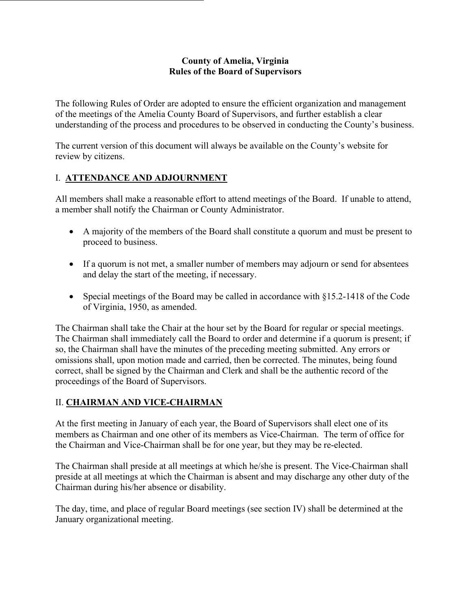#### **County of Amelia, Virginia Rules of the Board of Supervisors**

The following Rules of Order are adopted to ensure the efficient organization and management of the meetings of the Amelia County Board of Supervisors, and further establish a clear understanding of the process and procedures to be observed in conducting the County's business.

The current version of this document will always be available on the County's website for review by citizens.

## I. **ATTENDANCE AND ADJOURNMENT**

All members shall make a reasonable effort to attend meetings of the Board. If unable to attend, a member shall notify the Chairman or County Administrator.

- A majority of the members of the Board shall constitute a quorum and must be present to proceed to business.
- If a quorum is not met, a smaller number of members may adjourn or send for absentees and delay the start of the meeting, if necessary.
- Special meetings of the Board may be called in accordance with §15.2-1418 of the Code of Virginia, 1950, as amended.

The Chairman shall take the Chair at the hour set by the Board for regular or special meetings. The Chairman shall immediately call the Board to order and determine if a quorum is present; if so, the Chairman shall have the minutes of the preceding meeting submitted. Any errors or omissions shall, upon motion made and carried, then be corrected. The minutes, being found correct, shall be signed by the Chairman and Clerk and shall be the authentic record of the proceedings of the Board of Supervisors.

# II. **CHAIRMAN AND VICE-CHAIRMAN**

At the first meeting in January of each year, the Board of Supervisors shall elect one of its members as Chairman and one other of its members as Vice-Chairman. The term of office for the Chairman and Vice-Chairman shall be for one year, but they may be re-elected.

The Chairman shall preside at all meetings at which he/she is present. The Vice-Chairman shall preside at all meetings at which the Chairman is absent and may discharge any other duty of the Chairman during his/her absence or disability.

The day, time, and place of regular Board meetings (see section IV) shall be determined at the January organizational meeting.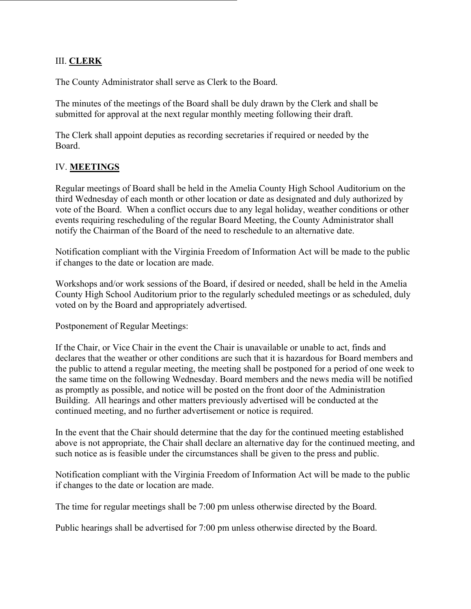#### III. **CLERK**

The County Administrator shall serve as Clerk to the Board.

The minutes of the meetings of the Board shall be duly drawn by the Clerk and shall be submitted for approval at the next regular monthly meeting following their draft.

The Clerk shall appoint deputies as recording secretaries if required or needed by the Board.

## IV. **MEETINGS**

Regular meetings of Board shall be held in the Amelia County High School Auditorium on the third Wednesday of each month or other location or date as designated and duly authorized by vote of the Board. When a conflict occurs due to any legal holiday, weather conditions or other events requiring rescheduling of the regular Board Meeting, the County Administrator shall notify the Chairman of the Board of the need to reschedule to an alternative date.

Notification compliant with the Virginia Freedom of Information Act will be made to the public if changes to the date or location are made.

Workshops and/or work sessions of the Board, if desired or needed, shall be held in the Amelia County High School Auditorium prior to the regularly scheduled meetings or as scheduled, duly voted on by the Board and appropriately advertised.

Postponement of Regular Meetings:

If the Chair, or Vice Chair in the event the Chair is unavailable or unable to act, finds and declares that the weather or other conditions are such that it is hazardous for Board members and the public to attend a regular meeting, the meeting shall be postponed for a period of one week to the same time on the following Wednesday. Board members and the news media will be notified as promptly as possible, and notice will be posted on the front door of the Administration Building. All hearings and other matters previously advertised will be conducted at the continued meeting, and no further advertisement or notice is required.

In the event that the Chair should determine that the day for the continued meeting established above is not appropriate, the Chair shall declare an alternative day for the continued meeting, and such notice as is feasible under the circumstances shall be given to the press and public.

Notification compliant with the Virginia Freedom of Information Act will be made to the public if changes to the date or location are made.

The time for regular meetings shall be 7:00 pm unless otherwise directed by the Board.

Public hearings shall be advertised for 7:00 pm unless otherwise directed by the Board.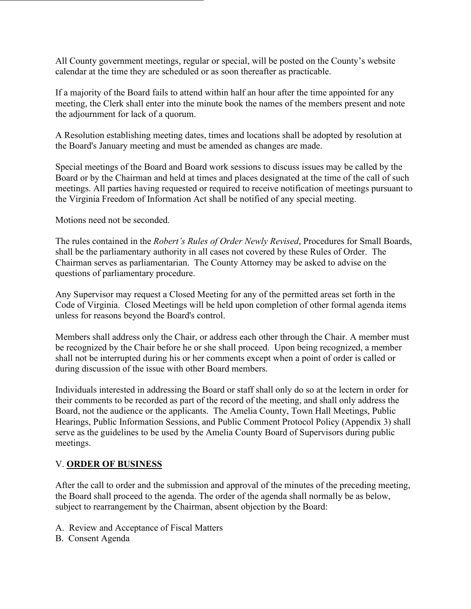All County government meetings, regular or special, will be posted on the County's website calendar at the time they are scheduled or as soon thereafter as practicable.

If a majority of the Board fails to attend within half an hour after the time appointed for any meeting, the Clerk shall enter into the minute book the names of the members present and note the adjournment for lack of a quorum.

A Resolution establishing meeting dates, times and locations shall be adopted by resolution at the Board's January meeting and must be amended as changes are made.

Special meetings of the Board and Board work sessions to discuss issues may be called by the Board or by the Chairman and held at times and places designated at the time of the call of such meetings. All parties having requested or required to receive notification of meetings pursuant to the Virginia Freedom of Information Act shall be notified of any special meeting.

Motions need not be seconded.

The rules contained in the *Robert's Rules of Order Newly Revised*, Procedures for Small Boards, shall be the parliamentary authority in all cases not covered by these Rules of Order. The Chairman serves as parliamentarian. The County Attorney may be asked to advise on the questions of parliamentary procedure.

Any Supervisor may request a Closed Meeting for any of the permitted areas set forth in the Code of Virginia. Closed Meetings will be held upon completion of other formal agenda items unless for reasons beyond the Board's control.

Members shall address only the Chair, or address each other through the Chair. A member must be recognized by the Chair before he or she shall proceed. Upon being recognized, a member shall not be interrupted during his or her comments except when a point of order is called or during discussion of the issue with other Board members.

Individuals interested in addressing the Board or staff shall only do so at the lectern in order for their comments to be recorded as part of the record of the meeting, and shall only address the Board, not the audience or the applicants. The Amelia County, Town Hall Meetings, Public Hearings, Public Information Sessions, and Public Comment Protocol Policy (Appendix 3) shall serve as the guidelines to be used by the Amelia County Board of Supervisors during public meetings.

#### V. **ORDER OF BUSINESS**

After the call to order and the submission and approval of the minutes of the preceding meeting, the Board shall proceed to the agenda. The order of the agenda shall normally be as below, subject to rearrangement by the Chairman, absent objection by the Board:

- A. Review and Acceptance of Fiscal Matters
- B. Consent Agenda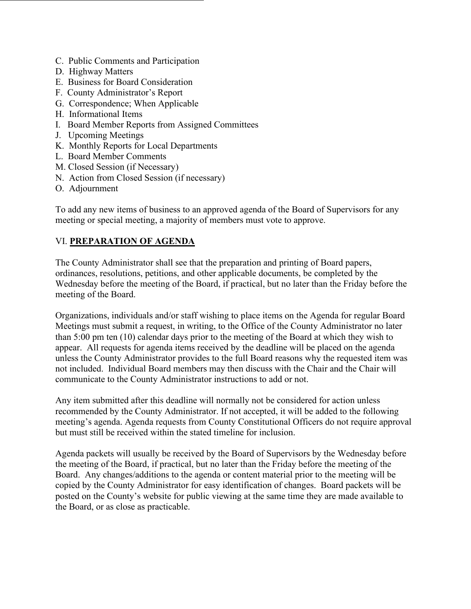- C. Public Comments and Participation
- D. Highway Matters
- E. Business for Board Consideration
- F. County Administrator's Report
- G. Correspondence; When Applicable
- H. Informational Items
- I. Board Member Reports from Assigned Committees
- J. Upcoming Meetings
- K. Monthly Reports for Local Departments
- L. Board Member Comments
- M. Closed Session (if Necessary)
- N. Action from Closed Session (if necessary)
- O. Adjournment

To add any new items of business to an approved agenda of the Board of Supervisors for any meeting or special meeting, a majority of members must vote to approve.

#### VI. **PREPARATION OF AGENDA**

The County Administrator shall see that the preparation and printing of Board papers, ordinances, resolutions, petitions, and other applicable documents, be completed by the Wednesday before the meeting of the Board, if practical, but no later than the Friday before the meeting of the Board.

Organizations, individuals and/or staff wishing to place items on the Agenda for regular Board Meetings must submit a request, in writing, to the Office of the County Administrator no later than 5:00 pm ten (10) calendar days prior to the meeting of the Board at which they wish to appear. All requests for agenda items received by the deadline will be placed on the agenda unless the County Administrator provides to the full Board reasons why the requested item was not included. Individual Board members may then discuss with the Chair and the Chair will communicate to the County Administrator instructions to add or not.

Any item submitted after this deadline will normally not be considered for action unless recommended by the County Administrator. If not accepted, it will be added to the following meeting's agenda. Agenda requests from County Constitutional Officers do not require approval but must still be received within the stated timeline for inclusion.

Agenda packets will usually be received by the Board of Supervisors by the Wednesday before the meeting of the Board, if practical, but no later than the Friday before the meeting of the Board. Any changes/additions to the agenda or content material prior to the meeting will be copied by the County Administrator for easy identification of changes. Board packets will be posted on the County's website for public viewing at the same time they are made available to the Board, or as close as practicable.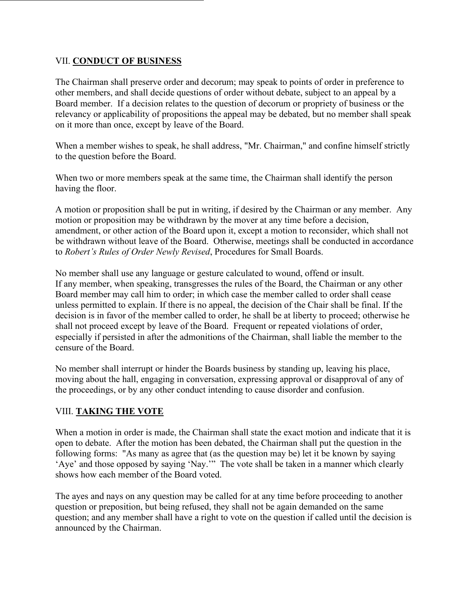#### VII. **CONDUCT OF BUSINESS**

The Chairman shall preserve order and decorum; may speak to points of order in preference to other members, and shall decide questions of order without debate, subject to an appeal by a Board member. If a decision relates to the question of decorum or propriety of business or the relevancy or applicability of propositions the appeal may be debated, but no member shall speak on it more than once, except by leave of the Board.

When a member wishes to speak, he shall address, "Mr. Chairman," and confine himself strictly to the question before the Board.

When two or more members speak at the same time, the Chairman shall identify the person having the floor.

A motion or proposition shall be put in writing, if desired by the Chairman or any member. Any motion or proposition may be withdrawn by the mover at any time before a decision, amendment, or other action of the Board upon it, except a motion to reconsider, which shall not be withdrawn without leave of the Board. Otherwise, meetings shall be conducted in accordance to *Robert's Rules of Order Newly Revised*, Procedures for Small Boards.

No member shall use any language or gesture calculated to wound, offend or insult. If any member, when speaking, transgresses the rules of the Board, the Chairman or any other Board member may call him to order; in which case the member called to order shall cease unless permitted to explain. If there is no appeal, the decision of the Chair shall be final. If the decision is in favor of the member called to order, he shall be at liberty to proceed; otherwise he shall not proceed except by leave of the Board. Frequent or repeated violations of order, especially if persisted in after the admonitions of the Chairman, shall liable the member to the censure of the Board.

No member shall interrupt or hinder the Boards business by standing up, leaving his place, moving about the hall, engaging in conversation, expressing approval or disapproval of any of the proceedings, or by any other conduct intending to cause disorder and confusion.

#### VIII. **TAKING THE VOTE**

When a motion in order is made, the Chairman shall state the exact motion and indicate that it is open to debate. After the motion has been debated, the Chairman shall put the question in the following forms: "As many as agree that (as the question may be) let it be known by saying 'Aye' and those opposed by saying 'Nay.'" The vote shall be taken in a manner which clearly shows how each member of the Board voted.

The ayes and nays on any question may be called for at any time before proceeding to another question or preposition, but being refused, they shall not be again demanded on the same question; and any member shall have a right to vote on the question if called until the decision is announced by the Chairman.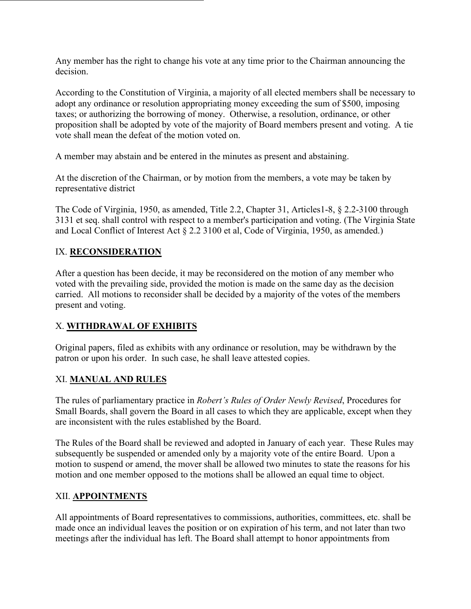Any member has the right to change his vote at any time prior to the Chairman announcing the decision.

According to the Constitution of Virginia, a majority of all elected members shall be necessary to adopt any ordinance or resolution appropriating money exceeding the sum of \$500, imposing taxes; or authorizing the borrowing of money. Otherwise, a resolution, ordinance, or other proposition shall be adopted by vote of the majority of Board members present and voting. A tie vote shall mean the defeat of the motion voted on.

A member may abstain and be entered in the minutes as present and abstaining.

At the discretion of the Chairman, or by motion from the members, a vote may be taken by representative district

The Code of Virginia, 1950, as amended, Title 2.2, Chapter 31, Articles1-8, § 2.2-3100 through 3131 et seq. shall control with respect to a member's participation and voting. (The Virginia State and Local Conflict of Interest Act § 2.2 3100 et al, Code of Virginia, 1950, as amended.)

## IX. **RECONSIDERATION**

After a question has been decide, it may be reconsidered on the motion of any member who voted with the prevailing side, provided the motion is made on the same day as the decision carried. All motions to reconsider shall be decided by a majority of the votes of the members present and voting.

#### X. **WITHDRAWAL OF EXHIBITS**

Original papers, filed as exhibits with any ordinance or resolution, may be withdrawn by the patron or upon his order. In such case, he shall leave attested copies.

#### XI. **MANUAL AND RULES**

The rules of parliamentary practice in *Robert's Rules of Order Newly Revised*, Procedures for Small Boards, shall govern the Board in all cases to which they are applicable, except when they are inconsistent with the rules established by the Board.

The Rules of the Board shall be reviewed and adopted in January of each year. These Rules may subsequently be suspended or amended only by a majority vote of the entire Board. Upon a motion to suspend or amend, the mover shall be allowed two minutes to state the reasons for his motion and one member opposed to the motions shall be allowed an equal time to object.

#### XII. **APPOINTMENTS**

All appointments of Board representatives to commissions, authorities, committees, etc. shall be made once an individual leaves the position or on expiration of his term, and not later than two meetings after the individual has left. The Board shall attempt to honor appointments from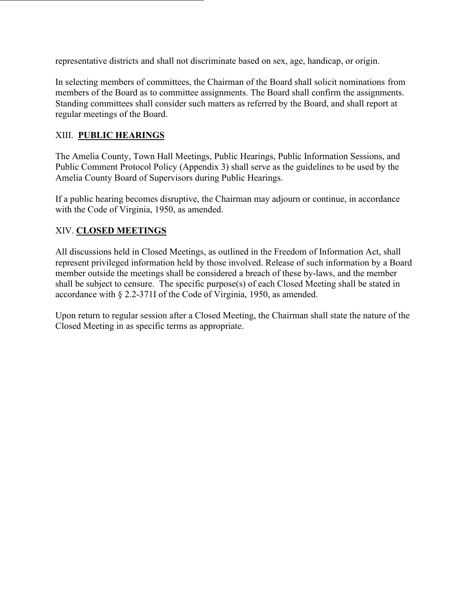representative districts and shall not discriminate based on sex, age, handicap, or origin.

In selecting members of committees, the Chairman of the Board shall solicit nominations from members of the Board as to committee assignments. The Board shall confirm the assignments. Standing committees shall consider such matters as referred by the Board, and shall report at regular meetings of the Board.

## XIII. **PUBLIC HEARINGS**

The Amelia County, Town Hall Meetings, Public Hearings, Public Information Sessions, and Public Comment Protocol Policy (Appendix 3) shall serve as the guidelines to be used by the Amelia County Board of Supervisors during Public Hearings.

If a public hearing becomes disruptive, the Chairman may adjourn or continue, in accordance with the Code of Virginia, 1950, as amended.

## XIV. **CLOSED MEETINGS**

All discussions held in Closed Meetings, as outlined in the Freedom of Information Act, shall represent privileged information held by those involved. Release of such information by a Board member outside the meetings shall be considered a breach of these by-laws, and the member shall be subject to censure. The specific purpose(s) of each Closed Meeting shall be stated in accordance with § 2.2-371I of the Code of Virginia, 1950, as amended.

Upon return to regular session after a Closed Meeting, the Chairman shall state the nature of the Closed Meeting in as specific terms as appropriate.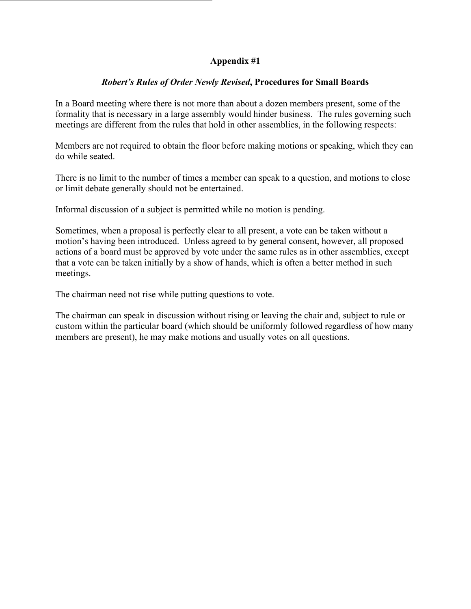#### **Appendix #1**

#### *Robert's Rules of Order Newly Revised***, Procedures for Small Boards**

In a Board meeting where there is not more than about a dozen members present, some of the formality that is necessary in a large assembly would hinder business. The rules governing such meetings are different from the rules that hold in other assemblies, in the following respects:

Members are not required to obtain the floor before making motions or speaking, which they can do while seated.

There is no limit to the number of times a member can speak to a question, and motions to close or limit debate generally should not be entertained.

Informal discussion of a subject is permitted while no motion is pending.

Sometimes, when a proposal is perfectly clear to all present, a vote can be taken without a motion's having been introduced. Unless agreed to by general consent, however, all proposed actions of a board must be approved by vote under the same rules as in other assemblies, except that a vote can be taken initially by a show of hands, which is often a better method in such meetings.

The chairman need not rise while putting questions to vote.

The chairman can speak in discussion without rising or leaving the chair and, subject to rule or custom within the particular board (which should be uniformly followed regardless of how many members are present), he may make motions and usually votes on all questions.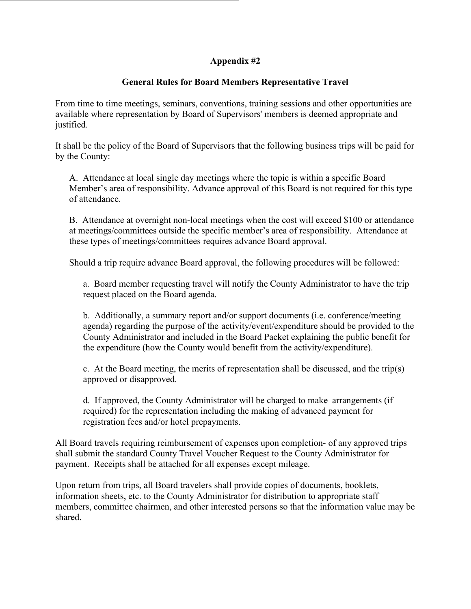#### **Appendix #2**

## **General Rules for Board Members Representative Travel**

From time to time meetings, seminars, conventions, training sessions and other opportunities are available where representation by Board of Supervisors' members is deemed appropriate and justified.

It shall be the policy of the Board of Supervisors that the following business trips will be paid for by the County:

A. Attendance at local single day meetings where the topic is within a specific Board Member's area of responsibility. Advance approval of this Board is not required for this type of attendance.

B. Attendance at overnight non-local meetings when the cost will exceed \$100 or attendance at meetings/committees outside the specific member's area of responsibility. Attendance at these types of meetings/committees requires advance Board approval.

Should a trip require advance Board approval, the following procedures will be followed:

a. Board member requesting travel will notify the County Administrator to have the trip request placed on the Board agenda.

b. Additionally, a summary report and/or support documents (i.e. conference/meeting agenda) regarding the purpose of the activity/event/expenditure should be provided to the County Administrator and included in the Board Packet explaining the public benefit for the expenditure (how the County would benefit from the activity/expenditure).

c. At the Board meeting, the merits of representation shall be discussed, and the trip(s) approved or disapproved.

d. If approved, the County Administrator will be charged to make arrangements (if required) for the representation including the making of advanced payment for registration fees and/or hotel prepayments.

All Board travels requiring reimbursement of expenses upon completion- of any approved trips shall submit the standard County Travel Voucher Request to the County Administrator for payment. Receipts shall be attached for all expenses except mileage.

Upon return from trips, all Board travelers shall provide copies of documents, booklets, information sheets, etc. to the County Administrator for distribution to appropriate staff members, committee chairmen, and other interested persons so that the information value may be shared.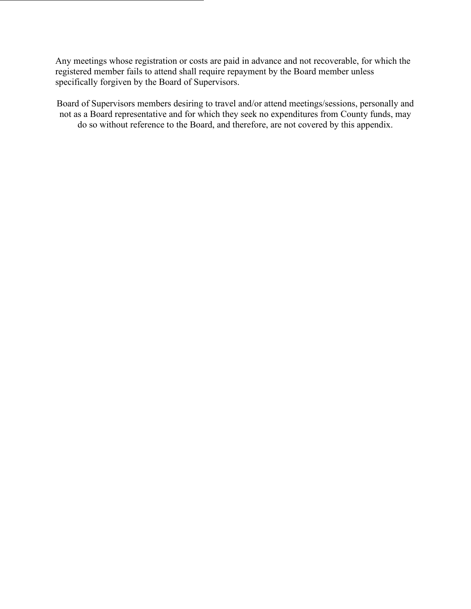Any meetings whose registration or costs are paid in advance and not recoverable, for which the registered member fails to attend shall require repayment by the Board member unless specifically forgiven by the Board of Supervisors.

Board of Supervisors members desiring to travel and/or attend meetings/sessions, personally and not as a Board representative and for which they seek no expenditures from County funds, may do so without reference to the Board, and therefore, are not covered by this appendix.